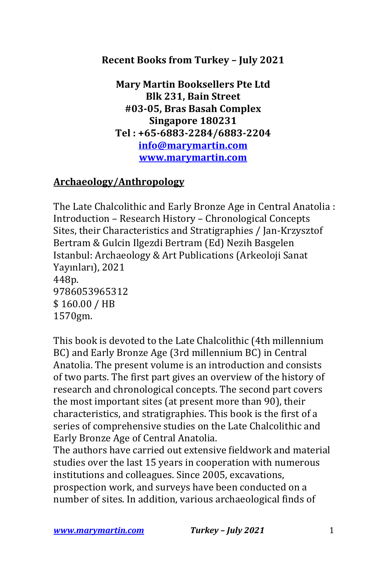## **Recent Books from Turkey - July 2021**

**Mary Martin Booksellers Pte Ltd Blk 231, Bain Street #03-05, Bras Basah Complex Singapore 180231 Tel : +65-6883-2284/6883-2204 info@marymartin.com www.marymartin.com**

#### **Archaeology/Anthropology**

The Late Chalcolithic and Early Bronze Age in Central Anatolia : Introduction - Research History - Chronological Concepts Sites, their Characteristics and Stratigraphies / Jan-Krzysztof Bertram & Gulcin Ilgezdi Bertram (Ed) Nezih Basgelen Istanbul: Archaeology & Art Publications (Arkeoloji Sanat Yayınları), 2021 448p. 9786053965312 \$ 160.00 / HB 1570gm.

This book is devoted to the Late Chalcolithic (4th millennium BC) and Early Bronze Age (3rd millennium BC) in Central Anatolia. The present volume is an introduction and consists of two parts. The first part gives an overview of the history of research and chronological concepts. The second part covers the most important sites (at present more than 90), their characteristics, and stratigraphies. This book is the first of a series of comprehensive studies on the Late Chalcolithic and Early Bronze Age of Central Anatolia.

The authors have carried out extensive fieldwork and material studies over the last 15 years in cooperation with numerous institutions and colleagues. Since 2005, excavations, prospection work, and surveys have been conducted on a number of sites. In addition, various archaeological finds of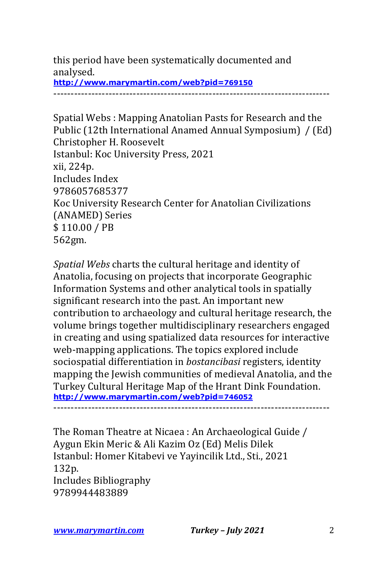this period have been systematically documented and analysed. **http://www.marymartin.com/web?pid=769150**

--------------------------------------------------------------------------------

Spatial Webs: Mapping Anatolian Pasts for Research and the Public (12th International Anamed Annual Symposium) / (Ed) Christopher H. Roosevelt Istanbul: Koc University Press, 2021 xii, 224p. Includes Index 9786057685377 Koc University Research Center for Anatolian Civilizations (ANAMED) Series \$110.00 / PB 562gm.

*Spatial Webs* charts the cultural heritage and identity of Anatolia, focusing on projects that incorporate Geographic Information Systems and other analytical tools in spatially significant research into the past. An important new contribution to archaeology and cultural heritage research, the volume brings together multidisciplinary researchers engaged in creating and using spatialized data resources for interactive web-mapping applications. The topics explored include sociospatial differentiation in *bostancibasi* registers, identity mapping the Jewish communities of medieval Anatolia, and the Turkey Cultural Heritage Map of the Hrant Dink Foundation. **http://www.marymartin.com/web?pid=746052** --------------------------------------------------------------------------------

The Roman Theatre at Nicaea : An Archaeological Guide / Aygun Ekin Meric & Ali Kazim Oz (Ed) Melis Dilek Istanbul: Homer Kitabevi ve Yayincilik Ltd., Sti., 2021 132p. Includes Bibliography 9789944483889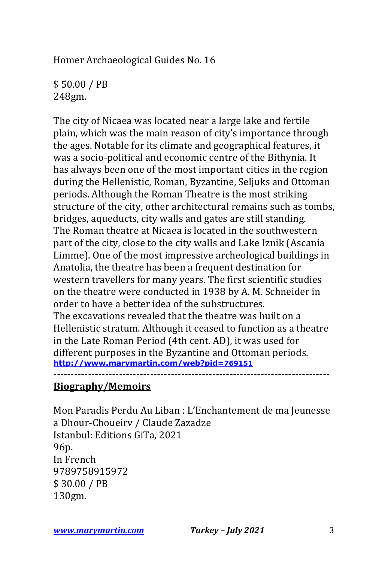Homer Archaeological Guides No. 16

\$ 50.00 / PB 248gm.

The city of Nicaea was located near a large lake and fertile plain, which was the main reason of city's importance through the ages. Notable for its climate and geographical features, it was a socio-political and economic centre of the Bithynia. It has always been one of the most important cities in the region during the Hellenistic, Roman, Byzantine, Seljuks and Ottoman periods. Although the Roman Theatre is the most striking structure of the city, other architectural remains such as tombs, bridges, aqueducts, city walls and gates are still standing. The Roman theatre at Nicaea is located in the southwestern part of the city, close to the city walls and Lake Iznik (Ascania Limme). One of the most impressive archeological buildings in Anatolia, the theatre has been a frequent destination for western travellers for many years. The first scientific studies on the theatre were conducted in 1938 by A. M. Schneider in order to have a better idea of the substructures. The excavations revealed that the theatre was built on a Hellenistic stratum. Although it ceased to function as a theatre in the Late Roman Period (4th cent. AD), it was used for different purposes in the Byzantine and Ottoman periods. **http://www.marymartin.com/web?pid=769151**

**Biography/Memoirs**

Mon Paradis Perdu Au Liban : L'Enchantement de ma Jeunesse a Dhour-Choueirv / Claude Zazadze Istanbul: Editions GiTa, 2021 96p. In French 9789758915972 \$ 30.00 / PB 130gm.

--------------------------------------------------------------------------------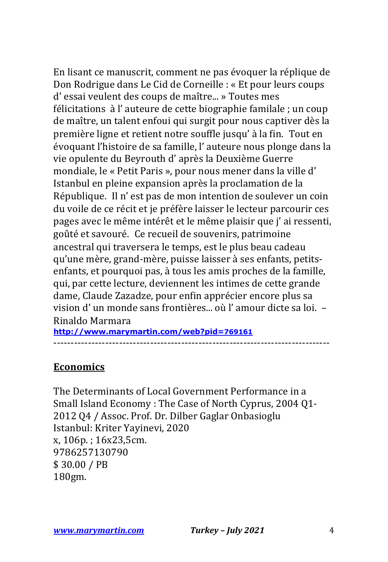En lisant ce manuscrit, comment ne pas évoquer la réplique de Don Rodrigue dans Le Cid de Corneille : « Et pour leurs coups d' essai veulent des coups de maître... » Toutes mes félicitations à l'auteure de cette biographie familale ; un coup de maître, un talent enfoui qui surgit pour nous captiver dès la première ligne et retient notre souffle jusqu' à la fin. Tout en évoquant l'histoire de sa famille, l'auteure nous plonge dans la vie opulente du Beyrouth d'après la Deuxième Guerre mondiale, le « Petit Paris », pour nous mener dans la ville d' Istanbul en pleine expansion après la proclamation de la République. Il n' est pas de mon intention de soulever un coin du voile de ce récit et je préfère laisser le lecteur parcourir ces pages avec le même intérêt et le même plaisir que j' ai ressenti, goûté et savouré. Ce recueil de souvenirs, patrimoine ancestral qui traversera le temps, est le plus beau cadeau qu'une mère, grand-mère, puisse laisser à ses enfants, petitsenfants, et pourquoi pas, à tous les amis proches de la famille, qui, par cette lecture, deviennent les intimes de cette grande dame, Claude Zazadze, pour enfin apprécier encore plus sa vision d' un monde sans frontières... où l'amour dicte sa loi. -Rinaldo Marmara

**http://www.marymartin.com/web?pid=769161** --------------------------------------------------------------------------------

#### **Economics**

The Determinants of Local Government Performance in a Small Island Economy : The Case of North Cyprus, 2004 Q1-2012 Q4 / Assoc. Prof. Dr. Dilber Gaglar Onbasioglu Istanbul: Kriter Yayinevi, 2020 x, 106p.; 16x23,5cm. 9786257130790 \$ 30.00 / PB 180gm.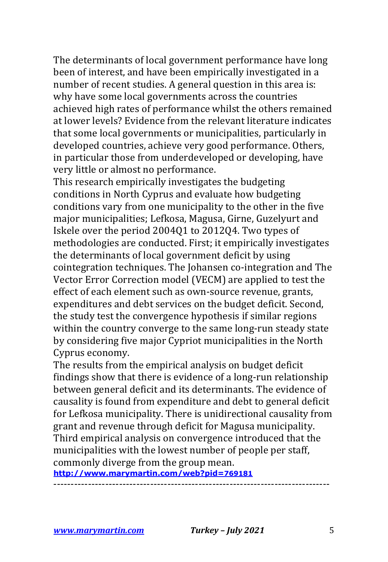The determinants of local government performance have long been of interest, and have been empirically investigated in a number of recent studies. A general question in this area is: why have some local governments across the countries achieved high rates of performance whilst the others remained at lower levels? Evidence from the relevant literature indicates that some local governments or municipalities, particularly in developed countries, achieve very good performance. Others, in particular those from underdeveloped or developing, have very little or almost no performance.

This research empirically investigates the budgeting conditions in North Cyprus and evaluate how budgeting conditions vary from one municipality to the other in the five major municipalities; Lefkosa, Magusa, Girne, Guzelyurt and Iskele over the period 2004Q1 to 2012Q4. Two types of methodologies are conducted. First; it empirically investigates the determinants of local government deficit by using cointegration techniques. The Johansen co-integration and The Vector Error Correction model (VECM) are applied to test the effect of each element such as own-source revenue, grants, expenditures and debt services on the budget deficit. Second, the study test the convergence hypothesis if similar regions within the country converge to the same long-run steady state by considering five major Cypriot municipalities in the North Cyprus economy.

The results from the empirical analysis on budget deficit findings show that there is evidence of a long-run relationship between general deficit and its determinants. The evidence of causality is found from expenditure and debt to general deficit for Lefkosa municipality. There is unidirectional causality from grant and revenue through deficit for Magusa municipality. Third empirical analysis on convergence introduced that the municipalities with the lowest number of people per staff, commonly diverge from the group mean.

**http://www.marymartin.com/web?pid=769181**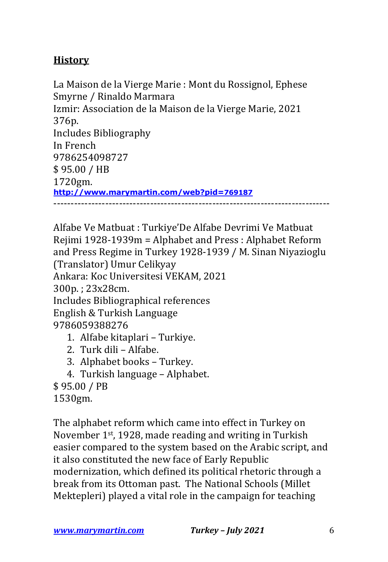# **History**

La Maison de la Vierge Marie : Mont du Rossignol, Ephese Smyrne / Rinaldo Marmara Izmir: Association de la Maison de la Vierge Marie, 2021 376p. Includes Bibliography In French 9786254098727 \$ 95.00 / HB 1720gm. **http://www.marymartin.com/web?pid=769187** --------------------------------------------------------------------------------

Alfabe Ve Matbuat : Turkiye'De Alfabe Devrimi Ve Matbuat Rejimi  $1928-1939m =$  Alphabet and Press : Alphabet Reform and Press Regime in Turkey 1928-1939 / M. Sinan Niyazioglu (Translator) Umur Celikyay Ankara: Koc Universitesi VEKAM, 2021 300p.; 23x28cm. Includes Bibliographical references English & Turkish Language 9786059388276 1. Alfabe kitaplari - Turkiye. 2. Turk dili – Alfabe.

- 3. Alphabet books Turkey.
- 4. Turkish language Alphabet.

\$ 95.00 / PB

1530gm.

The alphabet reform which came into effect in Turkey on November  $1<sup>st</sup>$ , 1928, made reading and writing in Turkish easier compared to the system based on the Arabic script, and it also constituted the new face of Early Republic modernization, which defined its political rhetoric through a break from its Ottoman past. The National Schools (Millet Mektepleri) played a vital role in the campaign for teaching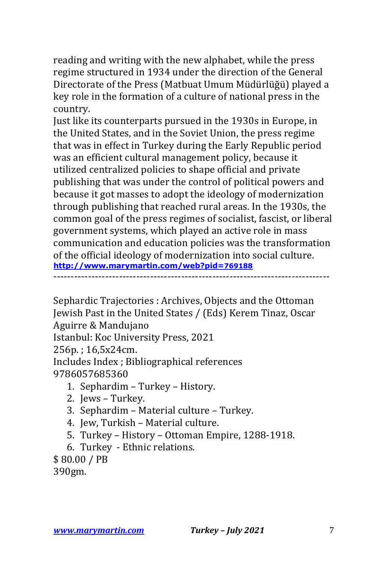reading and writing with the new alphabet, while the press regime structured in 1934 under the direction of the General Directorate of the Press (Matbuat Umum Müdürlüğü) played a key role in the formation of a culture of national press in the country.

Just like its counterparts pursued in the 1930s in Europe, in the United States, and in the Soviet Union, the press regime that was in effect in Turkey during the Early Republic period was an efficient cultural management policy, because it utilized centralized policies to shape official and private publishing that was under the control of political powers and because it got masses to adopt the ideology of modernization through publishing that reached rural areas. In the 1930s, the common goal of the press regimes of socialist, fascist, or liberal government systems, which played an active role in mass communication and education policies was the transformation of the official ideology of modernization into social culture. **http://www.marymartin.com/web?pid=769188** --------------------------------------------------------------------------------

Sephardic Trajectories : Archives, Objects and the Ottoman Jewish Past in the United States / (Eds) Kerem Tinaz, Oscar Aguirre & Mandujano

Istanbul: Koc University Press, 2021

256p.; 16,5x24cm.

Includes Index ; Bibliographical references 9786057685360

- 1. Sephardim Turkey History.
- 2. Jews Turkey.
- 3. Sephardim Material culture Turkey.
- 4. Jew, Turkish Material culture.
- 5. Turkey History Ottoman Empire, 1288-1918.
- 6. Turkey Ethnic relations.
- \$ 80.00 / PB

390gm.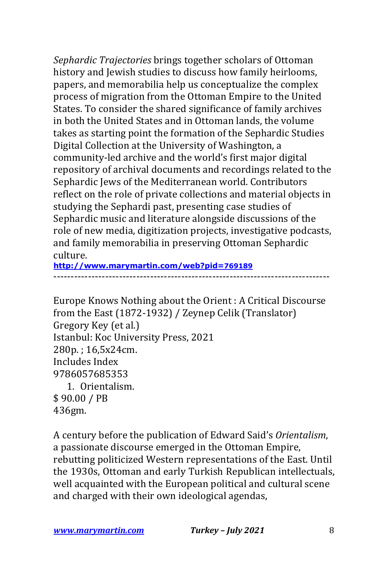*Sephardic Trajectories* brings together scholars of Ottoman history and Jewish studies to discuss how family heirlooms, papers, and memorabilia help us conceptualize the complex process of migration from the Ottoman Empire to the United States. To consider the shared significance of family archives in both the United States and in Ottoman lands, the volume takes as starting point the formation of the Sephardic Studies Digital Collection at the University of Washington, a community-led archive and the world's first major digital repository of archival documents and recordings related to the Sephardic Jews of the Mediterranean world. Contributors reflect on the role of private collections and material objects in studying the Sephardi past, presenting case studies of Sephardic music and literature alongside discussions of the role of new media, digitization projects, investigative podcasts, and family memorabilia in preserving Ottoman Sephardic culture.

**http://www.marymartin.com/web?pid=769189**

--------------------------------------------------------------------------------

Europe Knows Nothing about the Orient : A Critical Discourse from the East  $(1872-1932)$  / Zeynep Celik (Translator) Gregory Key (et al.) Istanbul: Koc University Press, 2021 280p.: 16,5x24cm. Includes Index 9786057685353 1. Orientalism. \$ 90.00 / PB 436gm.

A century before the publication of Edward Said's *Orientalism*, a passionate discourse emerged in the Ottoman Empire, rebutting politicized Western representations of the East. Until the 1930s, Ottoman and early Turkish Republican intellectuals, well acquainted with the European political and cultural scene and charged with their own ideological agendas,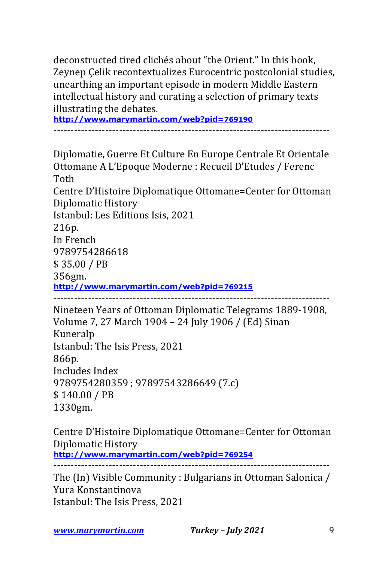deconstructed tired clichés about "the Orient." In this book, Zeynep Celik recontextualizes Eurocentric postcolonial studies, unearthing an important episode in modern Middle Eastern intellectual history and curating a selection of primary texts illustrating the debates.

**http://www.marymartin.com/web?pid=769190**

--------------------------------------------------------------------------------

Diplomatie, Guerre Et Culture En Europe Centrale Et Orientale Ottomane A L'Epoque Moderne : Recueil D'Etudes / Ferenc Toth Centre D'Histoire Diplomatique Ottomane=Center for Ottoman Diplomatic History Istanbul: Les Editions Isis, 2021 216p. In French 9789754286618 \$ 35.00 / PB 356gm. **http://www.marymartin.com/web?pid=769215** --------------------------------------------------------------------------------

Nineteen Years of Ottoman Diplomatic Telegrams 1889-1908, Volume 7, 27 March 1904 - 24 July 1906 / (Ed) Sinan Kuneralp Istanbul: The Isis Press, 2021 866p. Includes Index 9789754280359; 97897543286649 (7.c) \$ 140.00 / PB 1330gm.

Centre D'Histoire Diplomatique Ottomane=Center for Ottoman Diplomatic History **http://www.marymartin.com/web?pid=769254** --------------------------------------------------------------------------------

The (In) Visible Community : Bulgarians in Ottoman Salonica / Yura Konstantinova Istanbul: The Isis Press, 2021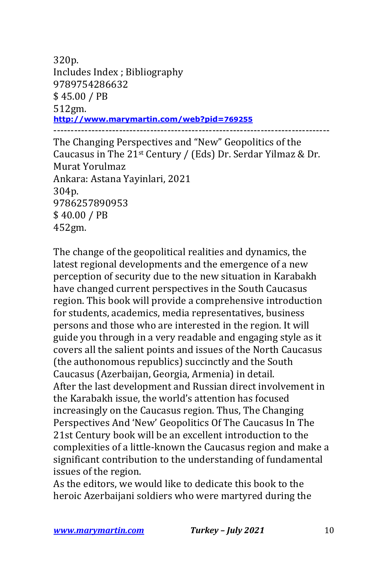320p. Includes Index ; Bibliography 9789754286632 \$ 45.00 / PB 512gm. **http://www.marymartin.com/web?pid=769255** --------------------------------------------------------------------------------

The Changing Perspectives and "New" Geopolitics of the Caucasus in The  $21<sup>st</sup>$  Century / (Eds) Dr. Serdar Yilmaz & Dr. Murat Yorulmaz Ankara: Astana Yayinlari, 2021 304p. 9786257890953 \$ 40.00 / PB 452gm.

The change of the geopolitical realities and dynamics, the latest regional developments and the emergence of a new perception of security due to the new situation in Karabakh have changed current perspectives in the South Caucasus region. This book will provide a comprehensive introduction for students, academics, media representatives, business persons and those who are interested in the region. It will guide you through in a very readable and engaging style as it covers all the salient points and issues of the North Caucasus (the authonomous republics) succinctly and the South Caucasus (Azerbaijan, Georgia, Armenia) in detail. After the last development and Russian direct involvement in the Karabakh issue, the world's attention has focused increasingly on the Caucasus region. Thus, The Changing Perspectives And 'New' Geopolitics Of The Caucasus In The 21st Century book will be an excellent introduction to the complexities of a little-known the Caucasus region and make a significant contribution to the understanding of fundamental issues of the region.

As the editors, we would like to dedicate this book to the heroic Azerbaijani soldiers who were martyred during the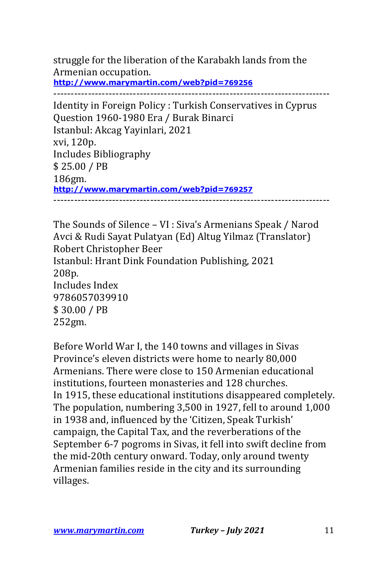struggle for the liberation of the Karabakh lands from the Armenian occupation. **http://www.marymartin.com/web?pid=769256**

--------------------------------------------------------------------------------

Identity in Foreign Policy : Turkish Conservatives in Cyprus Question 1960-1980 Era / Burak Binarci Istanbul: Akcag Yayinlari, 2021 xvi, 120p. Includes Bibliography \$ 25.00 / PB 186gm. **http://www.marymartin.com/web?pid=769257** --------------------------------------------------------------------------------

The Sounds of Silence - VI : Siva's Armenians Speak / Narod Avci & Rudi Sayat Pulatyan (Ed) Altug Yilmaz (Translator) Robert Christopher Beer Istanbul: Hrant Dink Foundation Publishing, 2021 208p. Includes Index 9786057039910 \$ 30.00 / PB 252gm.

Before World War I, the 140 towns and villages in Sivas Province's eleven districts were home to nearly 80,000 Armenians. There were close to 150 Armenian educational institutions, fourteen monasteries and 128 churches. In 1915, these educational institutions disappeared completely. The population, numbering 3,500 in 1927, fell to around 1,000 in 1938 and, influenced by the 'Citizen, Speak Turkish' campaign, the Capital Tax, and the reverberations of the September 6-7 pogroms in Sivas, it fell into swift decline from the mid-20th century onward. Today, only around twenty Armenian families reside in the city and its surrounding villages.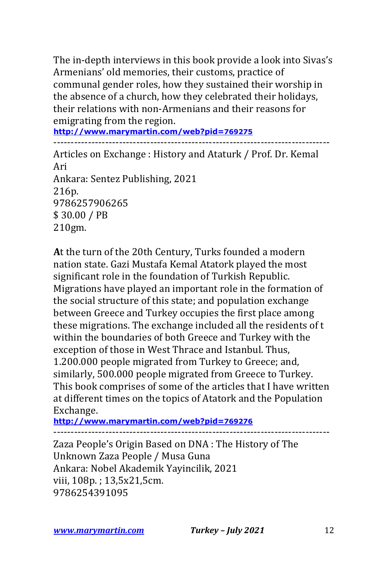The in-depth interviews in this book provide a look into Sivas's Armenians' old memories, their customs, practice of communal gender roles, how they sustained their worship in the absence of a church, how they celebrated their holidays, their relations with non-Armenians and their reasons for emigrating from the region.

**http://www.marymartin.com/web?pid=769275**

--------------------------------------------------------------------------------

Articles on Exchange: History and Ataturk / Prof. Dr. Kemal Ari Ankara: Sentez Publishing, 2021 216p. 9786257906265 \$ 30.00 / PB 210gm.

At the turn of the 20th Century, Turks founded a modern nation state. Gazi Mustafa Kemal Atatork played the most significant role in the foundation of Turkish Republic. Migrations have played an important role in the formation of the social structure of this state; and population exchange between Greece and Turkey occupies the first place among these migrations. The exchange included all the residents of t within the boundaries of both Greece and Turkey with the exception of those in West Thrace and Istanbul. Thus, 1.200.000 people migrated from Turkey to Greece; and, similarly, 500.000 people migrated from Greece to Turkey. This book comprises of some of the articles that I have written at different times on the topics of Atatork and the Population Exchange.

**http://www.marymartin.com/web?pid=769276**

Zaza People's Origin Based on DNA : The History of The Unknown Zaza People / Musa Guna Ankara: Nobel Akademik Yayincilik, 2021 viii, 108p.; 13,5x21,5cm. 9786254391095

--------------------------------------------------------------------------------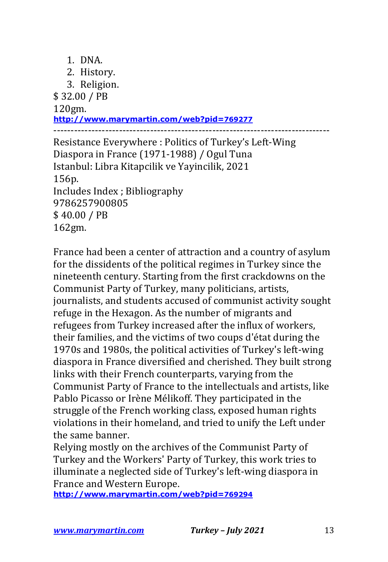- 1. DNA.
- 2. History.
- 3. Religion.

\$ 32.00 / PB

120gm.

**http://www.marymartin.com/web?pid=769277**

-------------------------------------------------------------------------------- Resistance Everywhere: Politics of Turkey's Left-Wing Diaspora in France (1971-1988) / Ogul Tuna

Istanbul: Libra Kitapcilik ve Yayincilik, 2021 156p. Includes Index ; Bibliography 9786257900805 \$ 40.00 / PB 162gm.

France had been a center of attraction and a country of asylum for the dissidents of the political regimes in Turkey since the nineteenth century. Starting from the first crackdowns on the Communist Party of Turkey, many politicians, artists, journalists, and students accused of communist activity sought refuge in the Hexagon. As the number of migrants and refugees from Turkey increased after the influx of workers, their families, and the victims of two coups d'état during the 1970s and 1980s, the political activities of Turkey's left-wing diaspora in France diversified and cherished. They built strong links with their French counterparts, varying from the Communist Party of France to the intellectuals and artists, like Pablo Picasso or Irène Mélikoff. They participated in the struggle of the French working class, exposed human rights violations in their homeland, and tried to unify the Left under the same banner.

Relying mostly on the archives of the Communist Party of Turkey and the Workers' Party of Turkey, this work tries to illuminate a neglected side of Turkey's left-wing diaspora in France and Western Europe.

**http://www.marymartin.com/web?pid=769294**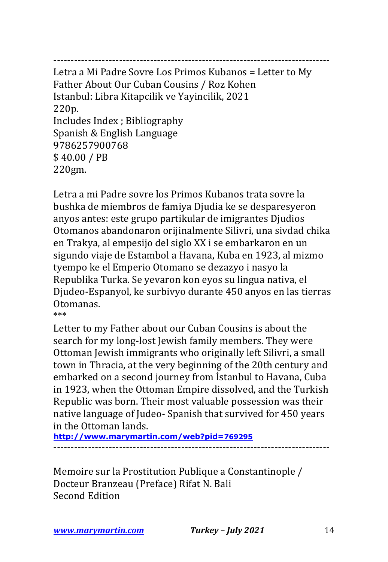-------------------------------------------------------------------------------- Letra a Mi Padre Sovre Los Primos Kubanos = Letter to My Father About Our Cuban Cousins / Roz Kohen Istanbul: Libra Kitapcilik ve Yayincilik, 2021 220p. Includes Index ; Bibliography Spanish & English Language 9786257900768 \$40.00 / PB 220gm.

Letra a mi Padre sovre los Primos Kubanos trata sovre la bushka de miembros de famiya Djudia ke se desparesyeron anyos antes: este grupo partikular de imigrantes Djudios Otomanos abandonaron orijinalmente Silivri, una sivdad chika en Trakya, al empesijo del siglo XX i se embarkaron en un sigundo viaje de Estambol a Havana, Kuba en 1923, al mizmo tyempo ke el Emperio Otomano se dezazyo i nasyo la Republika Turka. Se yevaron kon eyos su lingua nativa, el Djudeo-Espanyol, ke surbivyo durante 450 anyos en las tierras Otomanas. \*\*\*

Letter to my Father about our Cuban Cousins is about the search for my long-lost Jewish family members. They were Ottoman Jewish immigrants who originally left Silivri, a small town in Thracia, at the very beginning of the 20th century and embarked on a second journey from Istanbul to Havana, Cuba in 1923, when the Ottoman Empire dissolved, and the Turkish Republic was born. Their most valuable possession was their native language of Judeo- Spanish that survived for 450 years in the Ottoman lands.

**http://www.marymartin.com/web?pid=769295** --------------------------------------------------------------------------------

Memoire sur la Prostitution Publique a Constantinople / Docteur Branzeau (Preface) Rifat N. Bali Second Edition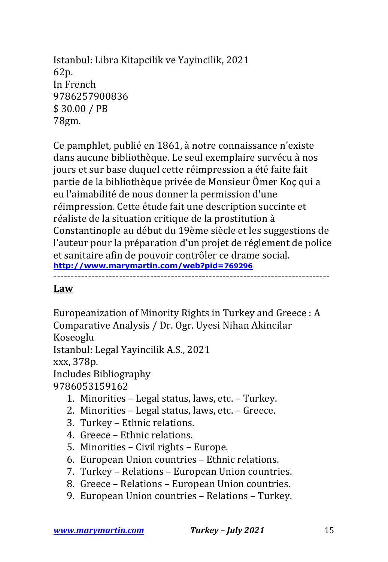Istanbul: Libra Kitapcilik ve Yayincilik, 2021 62p. In French 9786257900836 \$ 30.00 / PB 78gm.

Ce pamphlet, publié en 1861, à notre connaissance n'existe dans aucune bibliothèque. Le seul exemplaire survécu à nos jours et sur base duquel cette réimpression a été faite fait partie de la bibliothèque privée de Monsieur Ömer Koç qui a eu l'aimabilité de nous donner la permission d'une réimpression. Cette étude fait une description succinte et réaliste de la situation critique de la prostitution à Constantinople au début du 19ème siècle et les suggestions de l'auteur pour la préparation d'un projet de réglement de police et sanitaire afin de pouvoir contrôler ce drame social. **http://www.marymartin.com/web?pid=769296** --------------------------------------------------------------------------------

#### **Law**

Europeanization of Minority Rights in Turkey and Greece : A Comparative Analysis / Dr. Ogr. Uyesi Nihan Akincilar Koseoglu Istanbul: Legal Yayincilik A.S., 2021 xxx, 378p. Includes Bibliography

9786053159162

- 1. Minorities Legal status, laws, etc. Turkey.
- 2. Minorities  $-$  Legal status, laws, etc.  $-$  Greece.
- 3. Turkey Ethnic relations.
- 4. Greece Ethnic relations.
- 5. Minorities Civil rights Europe.
- 6. European Union countries Ethnic relations.
- 7. Turkey Relations European Union countries.
- 8. Greece Relations European Union countries.
- 9. European Union countries Relations Turkey.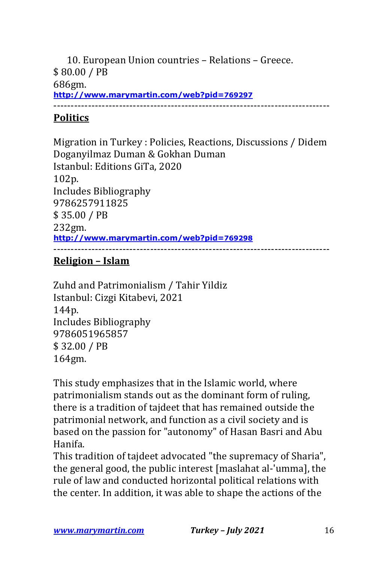10. European Union countries - Relations - Greece. \$ 80.00 / PB 686gm. **http://www.marymartin.com/web?pid=769297**

--------------------------------------------------------------------------------

## **Politics**

Migration in Turkey : Policies, Reactions, Discussions / Didem Doganyilmaz Duman & Gokhan Duman Istanbul: Editions GiTa, 2020 102p. Includes Bibliography 9786257911825 \$ 35.00 / PB 232gm. **http://www.marymartin.com/web?pid=769298** --------------------------------------------------------------------------------

## **Religion – Islam**

Zuhd and Patrimonialism / Tahir Yildiz Istanbul: Cizgi Kitabevi, 2021 144p. Includes Bibliography 9786051965857 \$ 32.00 / PB 164gm.

This study emphasizes that in the Islamic world, where patrimonialism stands out as the dominant form of ruling, there is a tradition of tajdeet that has remained outside the patrimonial network, and function as a civil society and is based on the passion for "autonomy" of Hasan Basri and Abu Hanifa.

This tradition of tajdeet advocated "the supremacy of Sharia", the general good, the public interest [maslahat al-'umma], the rule of law and conducted horizontal political relations with the center. In addition, it was able to shape the actions of the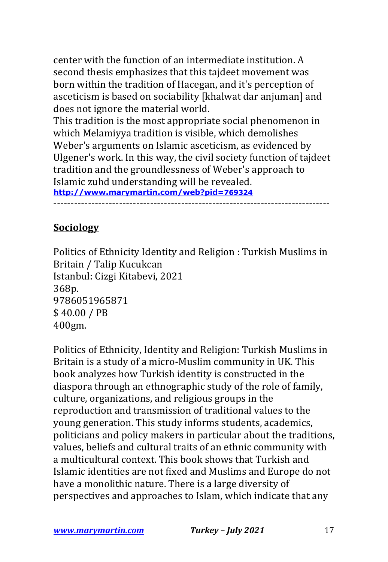center with the function of an intermediate institution. A second thesis emphasizes that this tajdeet movement was born within the tradition of Hacegan, and it's perception of asceticism is based on sociability [khalwat dar anjuman] and does not ignore the material world.

This tradition is the most appropriate social phenomenon in which Melamiyya tradition is visible, which demolishes Weber's arguments on Islamic asceticism, as evidenced by Ulgener's work. In this way, the civil society function of tajdeet tradition and the groundlessness of Weber's approach to Islamic zuhd understanding will be revealed.

**http://www.marymartin.com/web?pid=769324** --------------------------------------------------------------------------------

# **Sociology**

Politics of Ethnicity Identity and Religion : Turkish Muslims in Britain / Talip Kucukcan Istanbul: Cizgi Kitabevi, 2021 368p. 9786051965871 \$ 40.00 / PB 400gm.

Politics of Ethnicity, Identity and Religion: Turkish Muslims in Britain is a study of a micro-Muslim community in UK. This book analyzes how Turkish identity is constructed in the diaspora through an ethnographic study of the role of family, culture, organizations, and religious groups in the reproduction and transmission of traditional values to the young generation. This study informs students, academics, politicians and policy makers in particular about the traditions, values, beliefs and cultural traits of an ethnic community with a multicultural context. This book shows that Turkish and Islamic identities are not fixed and Muslims and Europe do not have a monolithic nature. There is a large diversity of perspectives and approaches to Islam, which indicate that any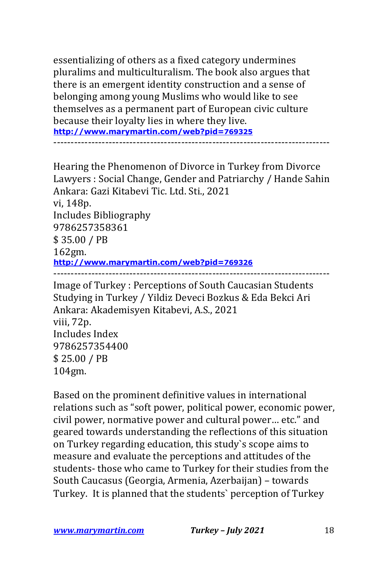essentializing of others as a fixed category undermines pluralims and multiculturalism. The book also argues that there is an emergent identity construction and a sense of belonging among young Muslims who would like to see themselves as a permanent part of European civic culture because their loyalty lies in where they live. **http://www.marymartin.com/web?pid=769325** --------------------------------------------------------------------------------

Hearing the Phenomenon of Divorce in Turkey from Divorce Lawyers : Social Change, Gender and Patriarchy / Hande Sahin Ankara: Gazi Kitabevi Tic. Ltd. Sti., 2021 vi, 148p. Includes Bibliography 9786257358361 \$ 35.00 / PB 162gm. **http://www.marymartin.com/web?pid=769326** -------------------------------------------------------------------------------- Image of Turkey: Perceptions of South Caucasian Students Studying in Turkey / Yildiz Deveci Bozkus & Eda Bekci Ari Ankara: Akademisyen Kitabevi, A.S., 2021 viii, 72p.

Includes Index 9786257354400 \$ 25.00 / PB 104gm.

Based on the prominent definitive values in international relations such as "soft power, political power, economic power, civil power, normative power and cultural power... etc." and geared towards understanding the reflections of this situation on Turkey regarding education, this study's scope aims to measure and evaluate the perceptions and attitudes of the students- those who came to Turkey for their studies from the South Caucasus (Georgia, Armenia, Azerbaijan) - towards Turkey. It is planned that the students' perception of Turkey